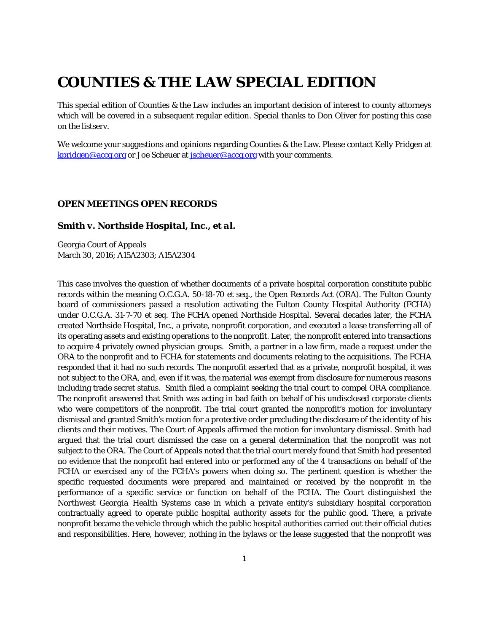## **COUNTIES & THE LAW SPECIAL EDITION**

This special edition of *Counties & the Law* includes an important decision of interest to county attorneys which will be covered in a subsequent regular edition. Special thanks to Don Oliver for posting this case on the listserv.

We welcome your suggestions and opinions regarding Counties & the Law. Please contact Kelly Pridgen at [kpridgen@accg.org](mailto:kpridgen@accg.org) or Joe Scheuer at [jscheuer@accg.org](mailto:jscheuer@accg.org) with your comments.

## *OPEN MEETINGS OPEN RECORDS*

## *Smith v. Northside Hospital, Inc., et al.*

Georgia Court of Appeals March 30, 2016; A15A2303; A15A2304

This case involves the question of whether documents of a private hospital corporation constitute public records within the meaning O.C.G.A. 50-18-70 *et seq.*, the Open Records Act (ORA). The Fulton County board of commissioners passed a resolution activating the Fulton County Hospital Authority (FCHA) under O.C.G.A. 31-7-70 *et seq.* The FCHA opened Northside Hospital. Several decades later, the FCHA created Northside Hospital, Inc., a private, nonprofit corporation, and executed a lease transferring all of its operating assets and existing operations to the nonprofit. Later, the nonprofit entered into transactions to acquire 4 privately owned physician groups. Smith, a partner in a law firm, made a request under the ORA to the nonprofit and to FCHA for statements and documents relating to the acquisitions. The FCHA responded that it had no such records. The nonprofit asserted that as a private, nonprofit hospital, it was not subject to the ORA, and, even if it was, the material was exempt from disclosure for numerous reasons including trade secret status. Smith filed a complaint seeking the trial court to compel ORA compliance. The nonprofit answered that Smith was acting in bad faith on behalf of his undisclosed corporate clients who were competitors of the nonprofit. The trial court granted the nonprofit's motion for involuntary dismissal and granted Smith's motion for a protective order precluding the disclosure of the identity of his clients and their motives. The Court of Appeals affirmed the motion for involuntary dismissal. Smith had argued that the trial court dismissed the case on a general determination that the nonprofit was not subject to the ORA. The Court of Appeals noted that the trial court merely found that Smith had presented no evidence that the nonprofit had entered into or performed any of the 4 transactions on behalf of the FCHA or exercised any of the FCHA's powers when doing so. The pertinent question is whether the specific requested documents were prepared and maintained or received by the nonprofit in the performance of a specific service or function on behalf of the FCHA. The Court distinguished the *Northwest Georgia Health Systems* case in which a private entity's subsidiary hospital corporation contractually agreed to operate public hospital authority assets for the public good. There, a private nonprofit became the vehicle through which the public hospital authorities carried out their official duties and responsibilities. Here, however, nothing in the bylaws or the lease suggested that the nonprofit was